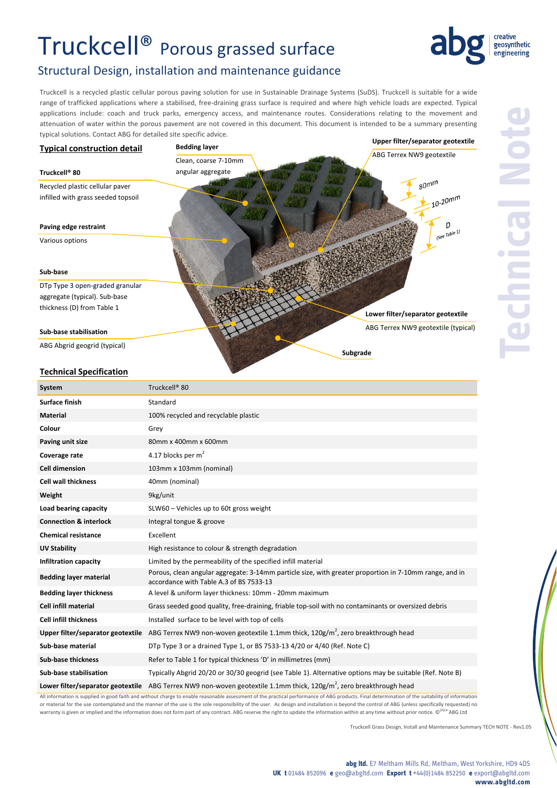## Truckcell® Porous grassed surface



## Structural Design, installation and maintenance guidance

Truckcell is a recycled plastic cellular porous paving solution for use in Sustainable Drainage Systems (SuDS). Truckcell is suitable for a wide range of trafficked applications where a stabilised, free-draining grass surface is required and where high vehicle loads are expected. Typical applications include: coach and truck parks, emergency access, and maintenance routes. Considerations relating to the movement and attenuation of water within the porous pavement are not covered in this document. This document is intended to be a summary presenting typical solutions. Contact ABG for detailed site specific advice.



All information is supplied in good faith and without charge to enable reasonable assessment of the practical performance of ABG products. Final determination of the suitability of information or material for the use contemplated and the manner of the use is the sole responsibility of the user. As design and installation is beyond the control of ABG (unless specifically requested) no warranty is given or implied and the information does not form part of any contract. ABG reserve the right to update the information within at any time without prior notice. ©2014 ABG Ltd ABG Ltd

Truckcell Grass Design, Install and Maintenance Summary TECH NOTE ‐ Rev1.05